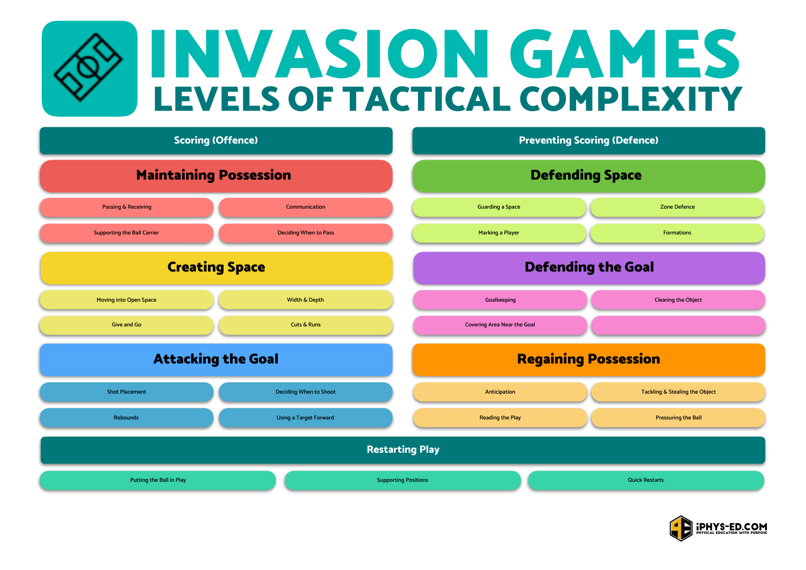## LEVELS OF TACTICAL COMPLEXITY INVASION GAMES



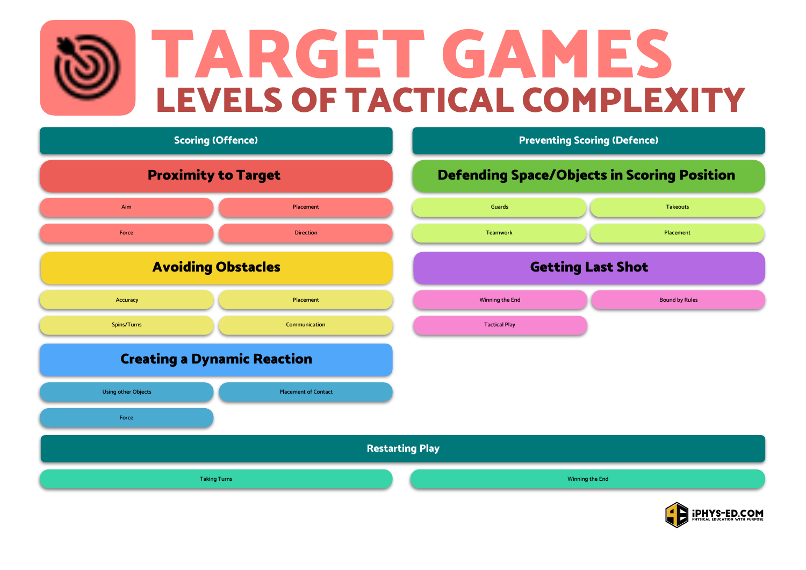## LEVELS OF TACTICAL COMPLEXITY TARGET GAMES



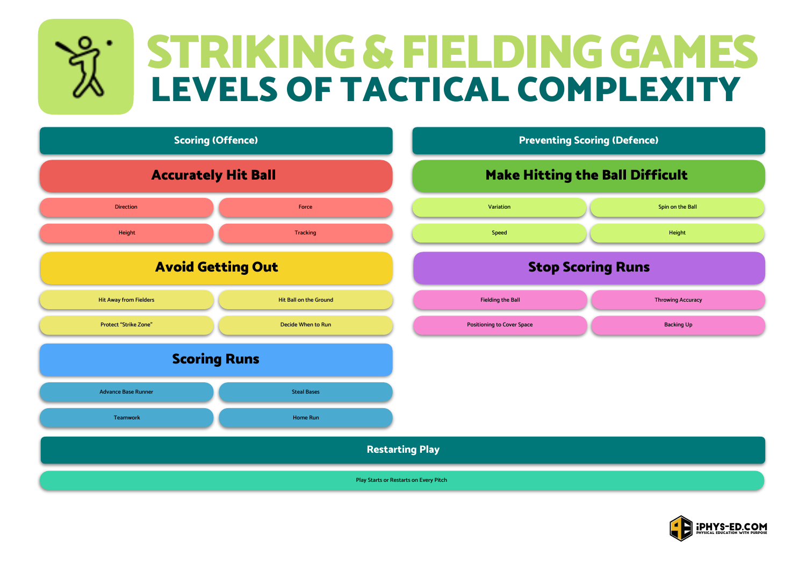## LEVELS OF TACTICAL COMPLEXITY STRIKING & FIELDING GAMES